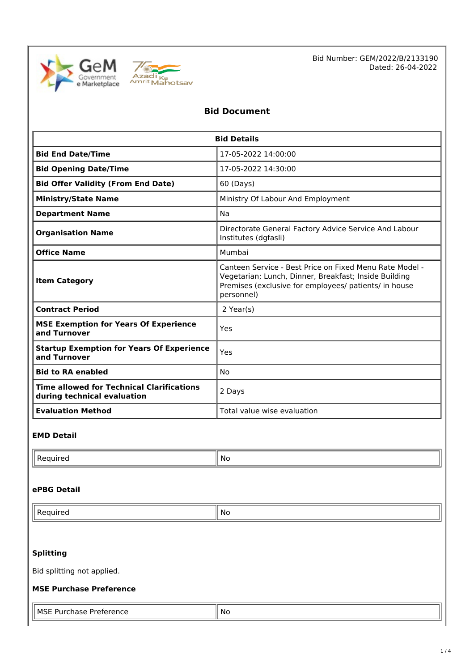



Bid Number: GEM/2022/B/2133190 Dated: 26-04-2022

# **Bid Document**

| <b>Bid Details</b>                                                              |                                                                                                                                                                                         |  |  |
|---------------------------------------------------------------------------------|-----------------------------------------------------------------------------------------------------------------------------------------------------------------------------------------|--|--|
| <b>Bid End Date/Time</b>                                                        | 17-05-2022 14:00:00                                                                                                                                                                     |  |  |
| <b>Bid Opening Date/Time</b>                                                    | 17-05-2022 14:30:00                                                                                                                                                                     |  |  |
| <b>Bid Offer Validity (From End Date)</b>                                       | 60 (Days)                                                                                                                                                                               |  |  |
| <b>Ministry/State Name</b>                                                      | Ministry Of Labour And Employment                                                                                                                                                       |  |  |
| <b>Department Name</b>                                                          | Na                                                                                                                                                                                      |  |  |
| <b>Organisation Name</b>                                                        | Directorate General Factory Advice Service And Labour<br>Institutes (dgfasli)                                                                                                           |  |  |
| <b>Office Name</b>                                                              | Mumbai                                                                                                                                                                                  |  |  |
| <b>Item Category</b>                                                            | Canteen Service - Best Price on Fixed Menu Rate Model -<br>Vegetarian; Lunch, Dinner, Breakfast; Inside Building<br>Premises (exclusive for employees/ patients/ in house<br>personnel) |  |  |
| <b>Contract Period</b>                                                          | 2 Year(s)                                                                                                                                                                               |  |  |
| <b>MSE Exemption for Years Of Experience</b><br>and Turnover                    | Yes                                                                                                                                                                                     |  |  |
| <b>Startup Exemption for Years Of Experience</b><br>and Turnover                | Yes                                                                                                                                                                                     |  |  |
| <b>Bid to RA enabled</b>                                                        | No                                                                                                                                                                                      |  |  |
| <b>Time allowed for Technical Clarifications</b><br>during technical evaluation | 2 Days                                                                                                                                                                                  |  |  |
| <b>Evaluation Method</b>                                                        | Total value wise evaluation                                                                                                                                                             |  |  |

#### **EMD Detail**

| . | 1 No |
|---|------|

#### **ePBG Detail**

| ll e | ΝG |
|------|----|

#### **Splitting**

Bid splitting not applied.

#### **MSE Purchase Preference**

| <b>MSE</b><br><br>™ence<br>. | No |
|------------------------------|----|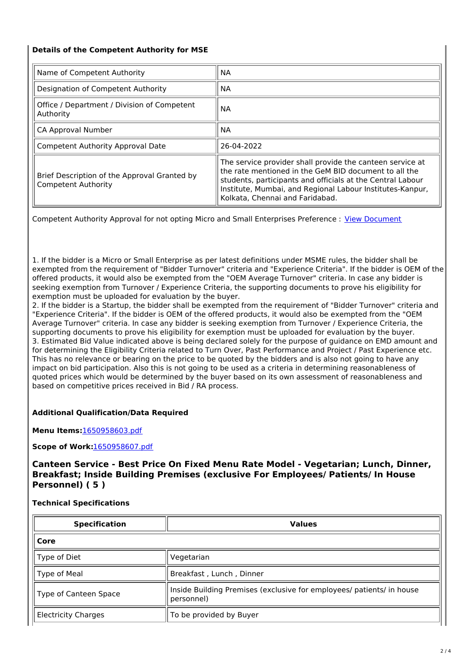#### **Details of the Competent Authority for MSE**

| Name of Competent Authority                                                | <b>NA</b>                                                                                                                                                                                                                                                                        |  |
|----------------------------------------------------------------------------|----------------------------------------------------------------------------------------------------------------------------------------------------------------------------------------------------------------------------------------------------------------------------------|--|
| Designation of Competent Authority                                         | NA.                                                                                                                                                                                                                                                                              |  |
| Office / Department / Division of Competent<br>Authority                   | ΝA                                                                                                                                                                                                                                                                               |  |
| CA Approval Number                                                         | <b>NA</b>                                                                                                                                                                                                                                                                        |  |
| Competent Authority Approval Date                                          | 26-04-2022                                                                                                                                                                                                                                                                       |  |
| Brief Description of the Approval Granted by<br><b>Competent Authority</b> | The service provider shall provide the canteen service at<br>the rate mentioned in the GeM BID document to all the<br>students, participants and officials at the Central Labour<br>Institute, Mumbai, and Regional Labour Institutes-Kanpur,<br>Kolkata, Chennai and Faridabad. |  |

Competent Authority Approval for not opting Micro and Small Enterprises Preference : View [Document](https://bidplus.gem.gov.in/bidding/bid/downloadMseMiiDoc/3353031/1650958809.pdf)

1. If the bidder is a Micro or Small Enterprise as per latest definitions under MSME rules, the bidder shall be exempted from the requirement of "Bidder Turnover" criteria and "Experience Criteria". If the bidder is OEM of the offered products, it would also be exempted from the "OEM Average Turnover" criteria. In case any bidder is seeking exemption from Turnover / Experience Criteria, the supporting documents to prove his eligibility for exemption must be uploaded for evaluation by the buyer.

2. If the bidder is a Startup, the bidder shall be exempted from the requirement of "Bidder Turnover" criteria and "Experience Criteria". If the bidder is OEM of the offered products, it would also be exempted from the "OEM Average Turnover" criteria. In case any bidder is seeking exemption from Turnover / Experience Criteria, the supporting documents to prove his eligibility for exemption must be uploaded for evaluation by the buyer. 3. Estimated Bid Value indicated above is being declared solely for the purpose of guidance on EMD amount and for determining the Eligibility Criteria related to Turn Over, Past Performance and Project / Past Experience etc. This has no relevance or bearing on the price to be quoted by the bidders and is also not going to have any impact on bid participation. Also this is not going to be used as a criteria in determining reasonableness of quoted prices which would be determined by the buyer based on its own assessment of reasonableness and based on competitive prices received in Bid / RA process.

#### **Additional Qualification/Data Required**

**Menu Items:**[1650958603.pdf](https://bidplus.gem.gov.in/resources/upload2/AprQ222/bidding/biddoc/bid-3353031/1650958603.pdf)

**Scope of Work:**[1650958607.pdf](https://bidplus.gem.gov.in/resources/upload2/AprQ222/bidding/biddoc/bid-3353031/1650958607.pdf)

**Canteen Service - Best Price On Fixed Menu Rate Model - Vegetarian; Lunch, Dinner, Breakfast; Inside Building Premises (exclusive For Employees/ Patients/ In House Personnel) ( 5 )**

**Technical Specifications**

| <b>Specification</b>       | <b>Values</b>                                                                       |  |
|----------------------------|-------------------------------------------------------------------------------------|--|
| Core                       |                                                                                     |  |
| Type of Diet               | Vegetarian                                                                          |  |
| Type of Meal               | Breakfast, Lunch, Dinner                                                            |  |
| Type of Canteen Space      | Inside Building Premises (exclusive for employees/ patients/ in house<br>personnel) |  |
| <b>Electricity Charges</b> | To be provided by Buyer                                                             |  |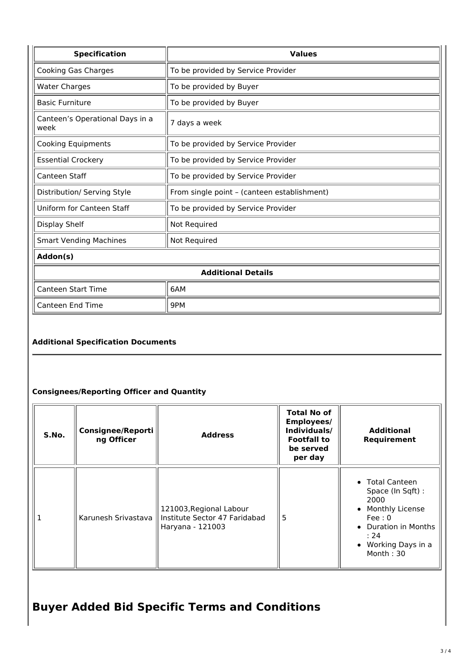| <b>Specification</b>                    | <b>Values</b>                               |  |
|-----------------------------------------|---------------------------------------------|--|
| Cooking Gas Charges                     | To be provided by Service Provider          |  |
| <b>Water Charges</b>                    | To be provided by Buyer                     |  |
| <b>Basic Furniture</b>                  | To be provided by Buyer                     |  |
| Canteen's Operational Days in a<br>week | 7 days a week                               |  |
| <b>Cooking Equipments</b>               | To be provided by Service Provider          |  |
| <b>Essential Crockery</b>               | To be provided by Service Provider          |  |
| Canteen Staff                           | To be provided by Service Provider          |  |
| Distribution/ Serving Style             | From single point - (canteen establishment) |  |
| Uniform for Canteen Staff               | To be provided by Service Provider          |  |
| Display Shelf                           | Not Required                                |  |
| <b>Smart Vending Machines</b>           | Not Required                                |  |
| Addon(s)                                |                                             |  |
| <b>Additional Details</b>               |                                             |  |
| <b>Canteen Start Time</b>               | 6AM                                         |  |
| <b>Canteen End Time</b>                 | 9PM                                         |  |

## **Additional Specification Documents**

## **Consignees/Reporting Officer and Quantity**

| S.No. | <b>Consignee/Reporti</b><br>ng Officer | <b>Address</b>                                                               | <b>Total No of</b><br><b>Employees/</b><br>Individuals/<br><b>Footfall to</b><br>be served<br>per day | <b>Additional</b><br>Requirement                                                                                                              |
|-------|----------------------------------------|------------------------------------------------------------------------------|-------------------------------------------------------------------------------------------------------|-----------------------------------------------------------------------------------------------------------------------------------------------|
|       | Karunesh Srivastava II                 | 121003, Regional Labour<br>Institute Sector 47 Faridabad<br>Haryana - 121003 | 5                                                                                                     | • Total Canteen<br>Space (In Sqft):<br>2000<br>• Monthly License<br>Fee:0<br>• Duration in Months<br>: 24<br>• Working Days in a<br>Month: 30 |

# **Buyer Added Bid Specific Terms and Conditions**